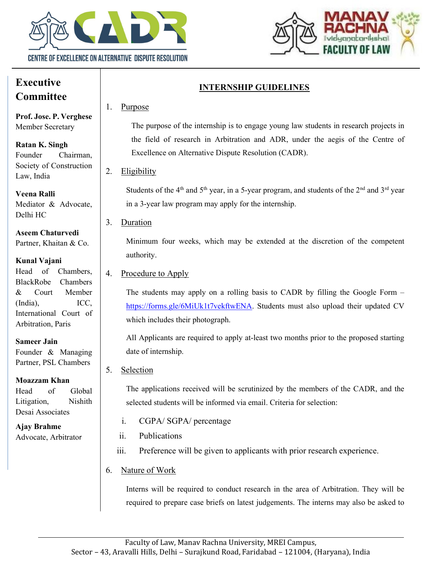



# Executive **Committee**

Prof. Jose. P. Verghese Member Secretary

Ratan K. Singh Founder Chairman, Society of Construction Law, India

Veena Ralli Mediator & Advocate, Delhi HC

Aseem Chaturvedi Partner, Khaitan & Co.

## Kunal Vajani

Head of Chambers, BlackRobe Chambers & Court Member (India), ICC, International Court of Arbitration, Paris

#### Sameer Jain

Founder & Managing Partner, PSL Chambers

#### Moazzam Khan

Head of Global Litigation, Nishith Desai Associates

Ajay Brahme Advocate, Arbitrator

# INTERNSHIP GUIDELINES

# 1. Purpose

The purpose of the internship is to engage young law students in research projects in the field of research in Arbitration and ADR, under the aegis of the Centre of Excellence on Alternative Dispute Resolution (CADR).

2. Eligibility

Students of the  $4<sup>th</sup>$  and  $5<sup>th</sup>$  year, in a 5-year program, and students of the  $2<sup>nd</sup>$  and  $3<sup>rd</sup>$  year in a 3-year law program may apply for the internship.

3. Duration

Minimum four weeks, which may be extended at the discretion of the competent authority.

## 4. Procedure to Apply

The students may apply on a rolling basis to CADR by filling the Google Form – https://forms.gle/6MiUk1t7vekftwENA. Students must also upload their updated CV which includes their photograph.

All Applicants are required to apply at-least two months prior to the proposed starting date of internship.

## 5. Selection

The applications received will be scrutinized by the members of the CADR, and the selected students will be informed via email. Criteria for selection:

- i. CGPA/ SGPA/ percentage
- ii. Publications
- iii. Preference will be given to applicants with prior research experience.

# 6. Nature of Work

Interns will be required to conduct research in the area of Arbitration. They will be required to prepare case briefs on latest judgements. The interns may also be asked to